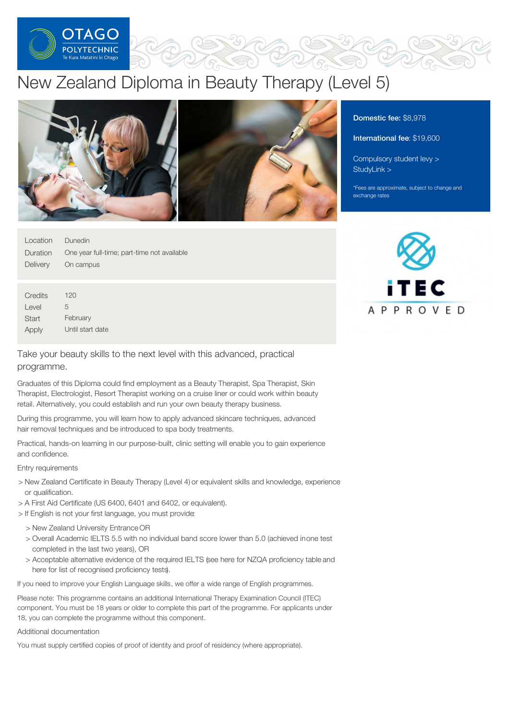

# New Zealand Diploma in Beauty Therapy (Level 5)



| Location | Dunedin                                     |
|----------|---------------------------------------------|
| Duration | One year full-time; part-time not available |
| Delivery | On campus                                   |
|          |                                             |
|          |                                             |
| Credits  | 120                                         |
| Level    | 5                                           |
| Start    | February                                    |
| Apply    | Until start date                            |

## Take your beauty skills to the next level with this advanced, practical programme.

Graduates of this Diploma could find employment as a Beauty Therapist, Spa Therapist, Skin Therapist, Electrologist, Resort Therapist working on a cruise liner or could work within beauty retail. Alternatively, you could establish and run your own beauty therapy business.

During this programme, you will learn how to apply advanced skincare techniques, advanced hair removal techniques and be introduced to spa body treatments.

Practical, hands-on learning in our purpose-built, clinic setting will enable you to gain experience and confidence.

#### Entry requirements

- > New Zealand Certificate in Beauty Therapy (Level 4) or equivalent skills and knowledge, experience or qualification.
- > A First Aid Certificate (US 6400, 6401 and 6402, or equivalent).
- > If English is not your first language, you must provide:
	- > New Zealand University Entrance OR
	- > Overall Academic IELTS 5.5 with no individual band score lower than 5.0 (achieved inone test completed in the last two years), OR
	- > Acceptable alternative evidence of the required IELTS (see here for NZQA proficiency table and here for list of recognised proficiency tests).

If you need to improve your English Language skills, we offer a wide range of English programmes.

Please note: This programme contains an additional International Therapy Examination Council (ITEC) component. You must be 18 years or older to complete this part of the programme. For applicants under 18, you can complete the programme without this component.

#### Additional documentation

You must supply certified copies of proof of identity and proof of residency (where appropriate).

## Domestic fee: \$8,978

#### International fee: \$19,600

[Compulsory](https://online.op.ac.nz/students/important-information/student-services-levy/) student levy > [StudyLink](https://www.studylink.govt.nz/) >

\*Fees are approximate, subject to change and exchange rates

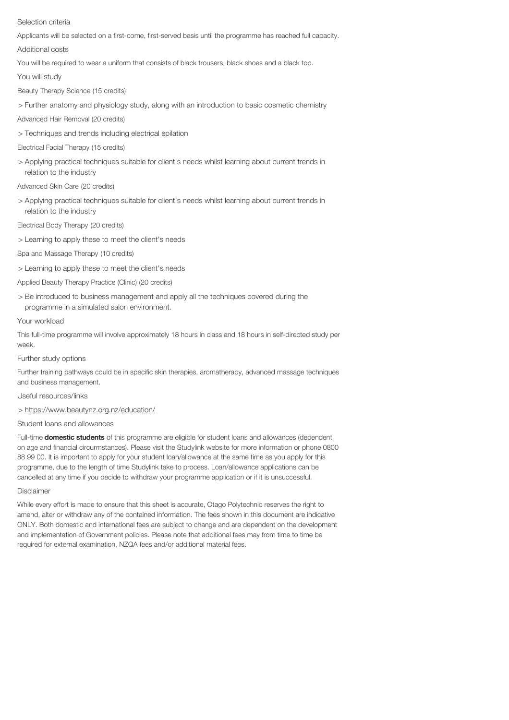#### Selection criteria

Applicants will be selected on a first-come, first-served basis until the programme has reached full capacity.

Additional costs

You will be required to wear a uniform that consists of black trousers, black shoes and a black top.

You will study

Beauty Therapy Science (15 credits)

> Further anatomy and physiology study, along with an introduction to basic cosmetic chemistry

Advanced Hair Removal (20 credits)

> Techniques and trends including electrical epilation

Electrical Facial Therapy (15 credits)

> Applying practical techniques suitable for client's needs whilst learning about current trends in relation to the industry

Advanced Skin Care (20 credits)

> Applying practical techniques suitable for client's needs whilst learning about current trends in relation to the industry

Electrical Body Therapy (20 credits)

> Learning to apply these to meet the client's needs

Spa and Massage Therapy (10 credits)

> Learning to apply these to meet the client's needs

- Applied Beauty Therapy Practice (Clinic) (20 credits)
- > Be introduced to business management and apply all the techniques covered during the programme in a simulated salon environment.

#### Your workload

This full-time programme will involve approximately 18 hours in class and 18 hours in self-directed study per week.

Further study options

Further training pathways could be in specific skin therapies, aromatherapy, advanced massage techniques and business management.

Useful resources/links

> https://www.beautynz.org.nz/education/

### Student loans and allowances

Full-time **domestic students** of this programme are eligible for student loans and allowances (dependent on age and financial circurmstances). Please visit the Studylink website for more information or phone 0800 88 99 00. It is important to apply for your student loan/allowance at the same time as you apply for this programme, due to the length of time Studylink take to process. Loan/allowance applications can be cancelled at any time if you decide to withdraw your programme application or if it is unsuccessful.

#### Disclaimer

While every effort is made to ensure that this sheet is accurate, Otago Polytechnic reserves the right to amend, alter or withdraw any of the contained information. The fees shown in this document are indicative ONLY. Both domestic and international fees are subject to change and are dependent on the development and implementation of Government policies. Please note that additional fees may from time to time be required for external examination, NZQA fees and/or additional material fees.